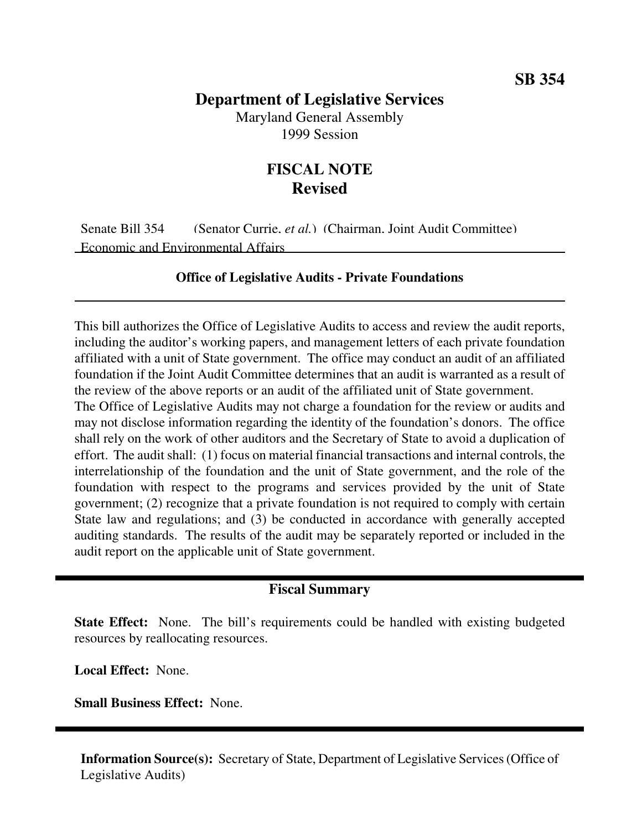## **Department of Legislative Services**

Maryland General Assembly 1999 Session

## **FISCAL NOTE Revised**

Senate Bill 354 (Senator Currie, *et al.*) (Chairman, Joint Audit Committee) Economic and Environmental Affairs

## **Office of Legislative Audits - Private Foundations**

This bill authorizes the Office of Legislative Audits to access and review the audit reports, including the auditor's working papers, and management letters of each private foundation affiliated with a unit of State government. The office may conduct an audit of an affiliated foundation if the Joint Audit Committee determines that an audit is warranted as a result of the review of the above reports or an audit of the affiliated unit of State government.

The Office of Legislative Audits may not charge a foundation for the review or audits and may not disclose information regarding the identity of the foundation's donors. The office shall rely on the work of other auditors and the Secretary of State to avoid a duplication of effort. The audit shall: (1) focus on material financial transactions and internal controls, the interrelationship of the foundation and the unit of State government, and the role of the foundation with respect to the programs and services provided by the unit of State government; (2) recognize that a private foundation is not required to comply with certain State law and regulations; and (3) be conducted in accordance with generally accepted auditing standards. The results of the audit may be separately reported or included in the audit report on the applicable unit of State government.

## **Fiscal Summary**

**State Effect:** None. The bill's requirements could be handled with existing budgeted resources by reallocating resources.

**Local Effect:** None.

**Small Business Effect:** None.

**Information Source(s):** Secretary of State, Department of Legislative Services(Office of Legislative Audits)